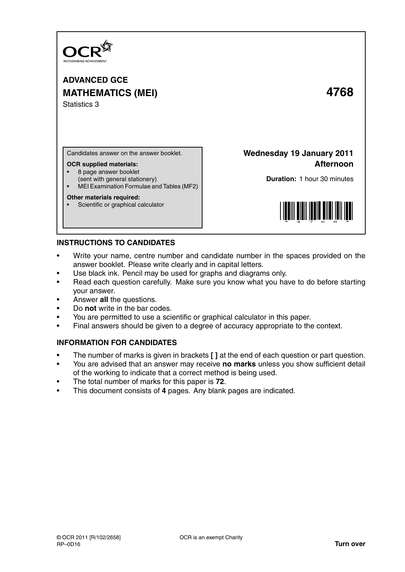

**ADVANCED GCE MATHEMATICS (MEI) 4768** Statistics 3

Candidates answer on the answer booklet.

#### **OCR supplied materials:**

- 8 page answer booklet
- (sent with general stationery)
- MEI Examination Formulae and Tables (MF2)

### **Other materials required:**

Scientific or graphical calculator

**Wednesday 19 January 2011 Afternoon**

**Duration:** 1 hour 30 minutes



# **INSTRUCTIONS TO CANDIDATES**

- Write your name, centre number and candidate number in the spaces provided on the answer booklet. Please write clearly and in capital letters.
- Use black ink. Pencil may be used for graphs and diagrams only.
- Read each question carefully. Make sure you know what you have to do before starting your answer.
- Answer **all** the questions.
- Do **not** write in the bar codes.
- You are permitted to use a scientific or graphical calculator in this paper.
- Final answers should be given to a degree of accuracy appropriate to the context.

# **INFORMATION FOR CANDIDATES**

- The number of marks is given in brackets **[ ]** at the end of each question or part question.
- You are advised that an answer may receive **no marks** unless you show sufficient detail of the working to indicate that a correct method is being used.
- The total number of marks for this paper is **72**.
- This document consists of **4** pages. Any blank pages are indicated.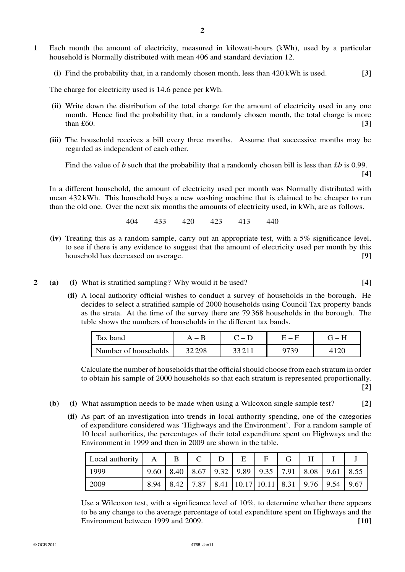- **1** Each month the amount of electricity, measured in kilowatt-hours (kWh), used by a particular household is Normally distributed with mean 406 and standard deviation 12.
	- **(i)** Find the probability that, in a randomly chosen month, less than 420 kWh is used. **[3]**

The charge for electricity used is 14.6 pence per kWh.

- **(ii)** Write down the distribution of the total charge for the amount of electricity used in any one month. Hence find the probability that, in a randomly chosen month, the total charge is more  $t$ han £60. **[3]**
- **(iii)** The household receives a bill every three months. Assume that successive months may be regarded as independent of each other.

Find the value of *b* such that the probability that a randomly chosen bill is less than £*b* is 0.99. **[4]**

In a different household, the amount of electricity used per month was Normally distributed with mean 432 kWh. This household buys a new washing machine that is claimed to be cheaper to run than the old one. Over the next six months the amounts of electricity used, in kWh, are as follows.

404 433 420 423 413 440

- **(iv)** Treating this as a random sample, carry out an appropriate test, with a 5% significance level, to see if there is any evidence to suggest that the amount of electricity used per month by this household has decreased on average. **[9]**
- **2 (a) (i)** What is stratified sampling? Why would it be used? **[4]**
	- **(ii)** A local authority official wishes to conduct a survey of households in the borough. He decides to select a stratified sample of 2000 households using Council Tax property bands as the strata. At the time of the survey there are 79 368 households in the borough. The table shows the numbers of households in the different tax bands.

| Tax band             | $ \mathbf{p}$ | $C - D$ | $\mathsf{H}=\mathsf{H}$ | $\mathbf{H} = \mathbf{H}$ |
|----------------------|---------------|---------|-------------------------|---------------------------|
| Number of households | 32 298        | 33211   | 1739                    |                           |

Calculate the number of households that the official should choose from each stratum in order to obtain his sample of 2000 households so that each stratum is represented proportionally. **[2]**

- **(b) (i)** What assumption needs to be made when using a Wilcoxon single sample test? **[2]**
	- **(ii)** As part of an investigation into trends in local authority spending, one of the categories of expenditure considered was 'Highways and the Environment'. For a random sample of 10 local authorities, the percentages of their total expenditure spent on Highways and the Environment in 1999 and then in 2009 are shown in the table.

| Local authority |      |  | Е                                                              |  | н |  |
|-----------------|------|--|----------------------------------------------------------------|--|---|--|
| 1999            | 9.60 |  | 8.40   8.67   9.32   9.89   9.35   7.91   8.08   9.61   8.55   |  |   |  |
| 2009            | 8.94 |  | 8.42   7.87   8.41   10.17   10.11   8.31   9.76   9.54   9.67 |  |   |  |

Use a Wilcoxon test, with a significance level of 10%, to determine whether there appears to be any change to the average percentage of total expenditure spent on Highways and the Environment between 1999 and 2009. **[10]**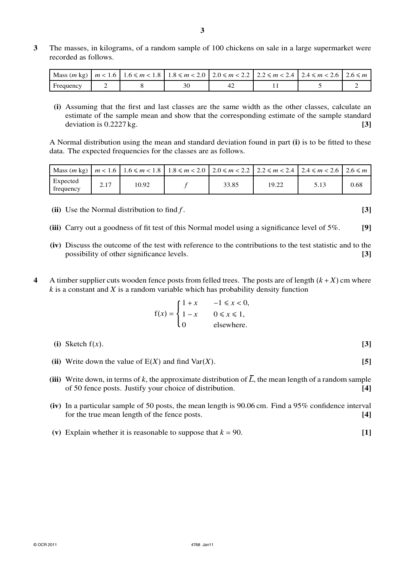**3** The masses, in kilograms, of a random sample of 100 chickens on sale in a large supermarket were recorded as follows.

|           |  |  | Mass $(m \text{ kg})$   $m < 1.6$   $1.6 \le m < 1.8$   $1.8 \le m < 2.0$   $2.0 \le m < 2.2$   $2.2 \le m < 2.4$   $2.4 \le m < 2.6$   $2.6 \le m$ |  |
|-----------|--|--|-----------------------------------------------------------------------------------------------------------------------------------------------------|--|
| Frequency |  |  |                                                                                                                                                     |  |

**(i)** Assuming that the first and last classes are the same width as the other classes, calculate an estimate of the sample mean and show that the corresponding estimate of the sample standard deviation is  $0.2227 \text{ kg}$ . **[3]** 

A Normal distribution using the mean and standard deviation found in part **(i)** is to be fitted to these data. The expected frequencies for the classes are as follows.

|                       |      |       |       |       | Mass $(m \text{ kg}) \mid m < 1.6 \mid 1.6 \le m < 1.8 \mid 1.8 \le m < 2.0 \mid 2.0 \le m < 2.2 \mid 2.2 \le m < 2.4 \mid 2.4 \le m < 2.6 \mid 2.6 \le m$ |      |
|-----------------------|------|-------|-------|-------|------------------------------------------------------------------------------------------------------------------------------------------------------------|------|
| Expected<br>frequency | 2.17 | 10.92 | 33.85 | 19.22 | 5.13                                                                                                                                                       | 0.68 |

- **(ii)** Use the Normal distribution to find *f* . **[3]**
- **(iii)** Carry out a goodness of fit test of this Normal model using a significance level of 5%. **[9]**
- **(iv)** Discuss the outcome of the test with reference to the contributions to the test statistic and to the possibility of other significance levels. **[3]**
- **4** A timber supplier cuts wooden fence posts from felled trees. The posts are of length  $(k + X)$  cm where *k* is a constant and *X* is a random variable which has probability density function

$$
f(x) = \begin{cases} 1+x & -1 \le x < 0, \\ 1-x & 0 \le x \le 1, \\ 0 & \text{elsewhere.} \end{cases}
$$

**(i)** Sketch f(*x*). **[3]**

- **(ii)** Write down the value of  $E(X)$  and find Var $(X)$ . [5]
- (iii) Write down, in terms of  $k$ , the approximate distribution of  $\overline{L}$ , the mean length of a random sample of 50 fence posts. Justify your choice of distribution. **[4]**
- **(iv)** In a particular sample of 50 posts, the mean length is 90.06 cm. Find a 95% confidence interval for the true mean length of the fence posts. **[4]**
- (**v**) Explain whether it is reasonable to suppose that  $k = 90$ . [1]